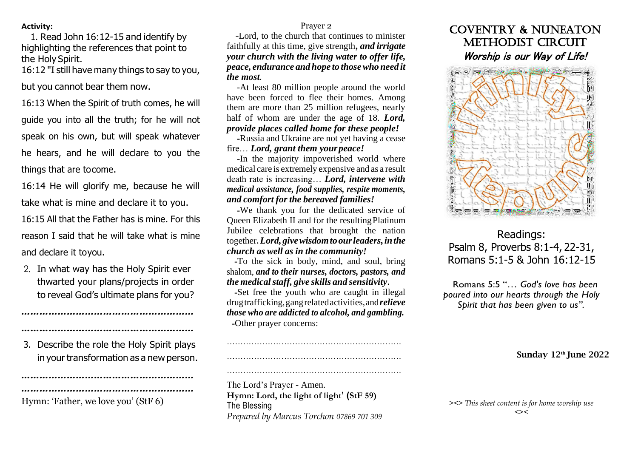### **Activity:**

1. Read John 16:12-15 and identify by highlighting the references that point to the Holy Spirit.

16:12 "I still have many things to say to you,

but you cannot bear them now.

16:13 When the Spirit of truth comes, he will guide you into all the truth; for he will not speak on his own, but will speak whatever he hears, and he will declare to you the things that are tocome.

16:14 He will glorify me, because he will take what is mine and declare it to you.

16:15 All that the Father has is mine. For this reason I said that he will take what is mine and declare it toyou.

2. In what way has the Holy Spirit ever thwarted your plans/projects in order to reveal God's ultimate plans for you?

3. Describe the role the Holy Spirit plays in your transformation as a new person.

*…………………………………………………*

*…………………………………………………*

*…………………………………………………* Hymn: 'Father, we love you' (StF 6)

*…………………………………………………*

Prayer 2

-Lord, to the church that continues to minister faithfully at this time, give strength**,** *and irrigate your church with the living water to offer life, peace, endurance and hope to thosewho need it the most.*

-At least 80 million people around the world have been forced to flee their homes. Among them are more than 25 million refugees, nearly half of whom are under the age of 18. *Lord, provide places called home for these people!*

**-**Russia and Ukraine are not yet having a cease fire… *Lord, grant them yourpeace!*

**-**In the majority impoverished world where medical care is extremely expensive and as a result death rate is increasing… *Lord, intervene with medical assistance, food supplies, respite moments, and comfort for the bereaved families!*

**-**We thank you for the dedicated service of Queen Elizabeth II and for the resultingPlatinum Jubilee celebrations that brought the nation together**.***Lord,givewisdomtoourleaders,inthe church as well as in the community!*

**-**To the sick in body, mind, and soul, bring shalom, *and to their nurses, doctors, pastors, and the medicalstaff, give skills and sensitivity***.**

**-**Set free the youth who are caught in illegal drugtrafficking,gangrelatedactivities,and*relieve those who are addicted to alcohol, and gambling.* **-**Other prayer concerns:

………………………………………………………. ……………………………………………………….

……………………………………………………….

The Lord's Prayer - Amen. **Hymn: Lord, the light of light' (StF 59)** The Blessing *Prepared by Marcus Torchon 07869 701 309*

## Coventry & Nuneaton METHODIST CIRCUIT Worship is our Way of Life!



# Readings: Psalm 8, Proverbs 8:1-4, 22-31, Romans 5:1-5 & John 16:12-15

Romans 5:5 "*… God's love has been poured into our hearts through the Holy Spirit that has been given to us".*

Sunday 12<sup>th</sup> June 2022

*><> This sheet content is for home worship use <><*